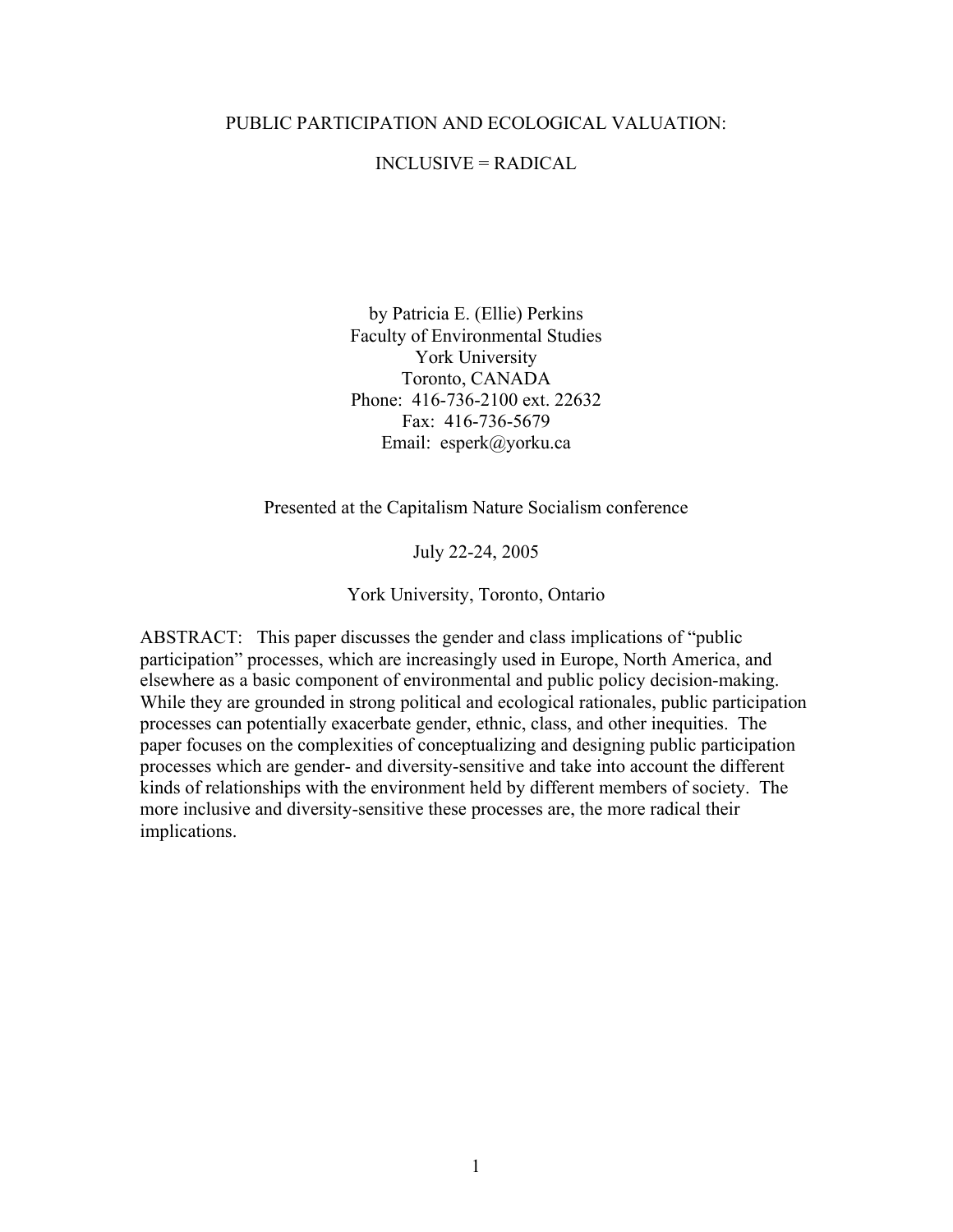#### PUBLIC PARTICIPATION AND ECOLOGICAL VALUATION:

## INCLUSIVE = RADICAL

by Patricia E. (Ellie) Perkins Faculty of Environmental Studies York University Toronto, CANADA Phone: 416-736-2100 ext. 22632 Fax: 416-736-5679 Email: esperk@yorku.ca

Presented at the Capitalism Nature Socialism conference

July 22-24, 2005

York University, Toronto, Ontario

ABSTRACT: This paper discusses the gender and class implications of "public participation" processes, which are increasingly used in Europe, North America, and elsewhere as a basic component of environmental and public policy decision-making. While they are grounded in strong political and ecological rationales, public participation processes can potentially exacerbate gender, ethnic, class, and other inequities. The paper focuses on the complexities of conceptualizing and designing public participation processes which are gender- and diversity-sensitive and take into account the different kinds of relationships with the environment held by different members of society. The more inclusive and diversity-sensitive these processes are, the more radical their implications.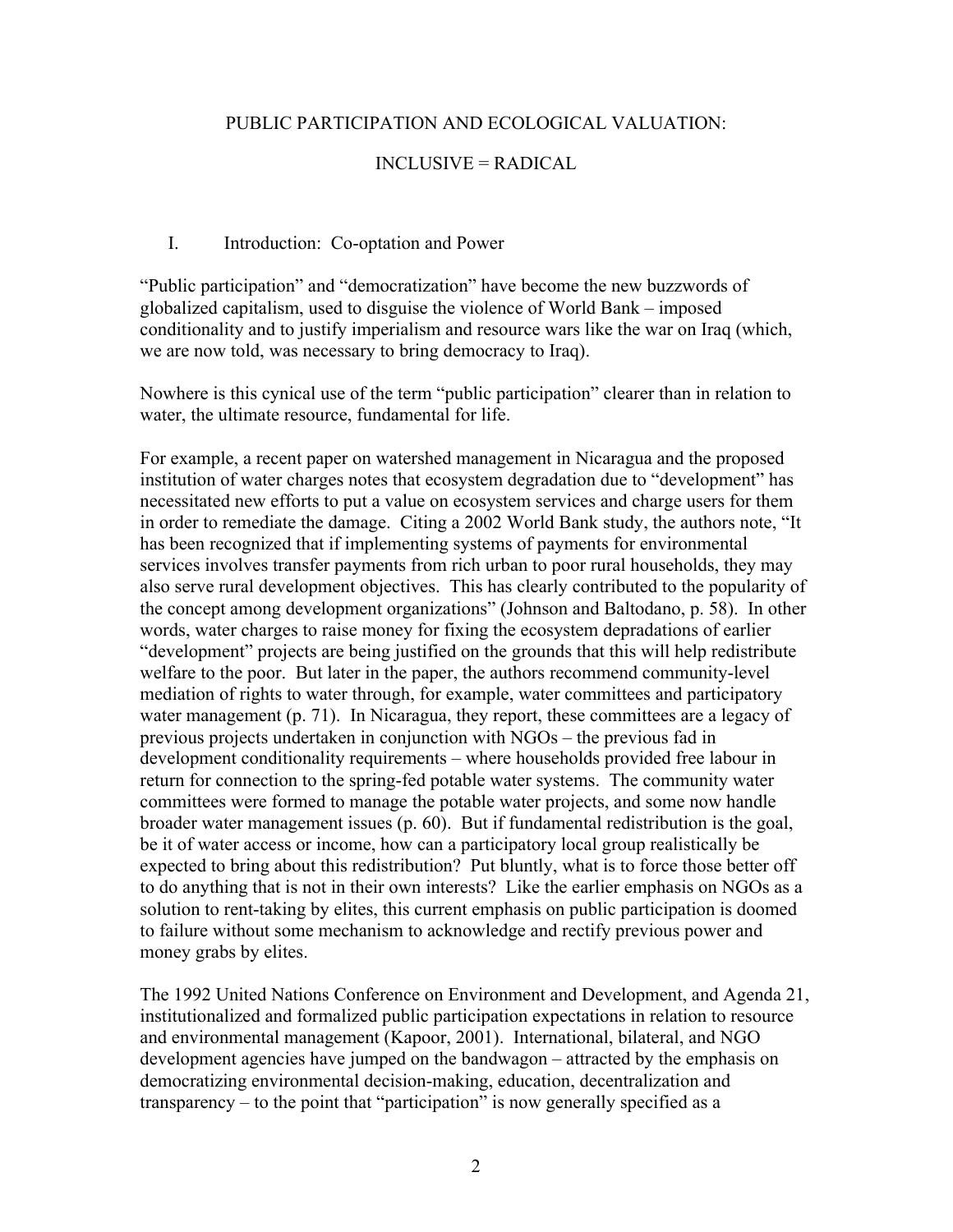## PUBLIC PARTICIPATION AND ECOLOGICAL VALUATION:

### INCLUSIVE = RADICAL

#### I. Introduction: Co-optation and Power

"Public participation" and "democratization" have become the new buzzwords of globalized capitalism, used to disguise the violence of World Bank – imposed conditionality and to justify imperialism and resource wars like the war on Iraq (which, we are now told, was necessary to bring democracy to Iraq).

Nowhere is this cynical use of the term "public participation" clearer than in relation to water, the ultimate resource, fundamental for life.

For example, a recent paper on watershed management in Nicaragua and the proposed institution of water charges notes that ecosystem degradation due to "development" has necessitated new efforts to put a value on ecosystem services and charge users for them in order to remediate the damage. Citing a 2002 World Bank study, the authors note, "It has been recognized that if implementing systems of payments for environmental services involves transfer payments from rich urban to poor rural households, they may also serve rural development objectives. This has clearly contributed to the popularity of the concept among development organizations" (Johnson and Baltodano, p. 58). In other words, water charges to raise money for fixing the ecosystem depradations of earlier "development" projects are being justified on the grounds that this will help redistribute welfare to the poor. But later in the paper, the authors recommend community-level mediation of rights to water through, for example, water committees and participatory water management (p. 71). In Nicaragua, they report, these committees are a legacy of previous projects undertaken in conjunction with NGOs – the previous fad in development conditionality requirements – where households provided free labour in return for connection to the spring-fed potable water systems. The community water committees were formed to manage the potable water projects, and some now handle broader water management issues (p. 60). But if fundamental redistribution is the goal, be it of water access or income, how can a participatory local group realistically be expected to bring about this redistribution? Put bluntly, what is to force those better off to do anything that is not in their own interests? Like the earlier emphasis on NGOs as a solution to rent-taking by elites, this current emphasis on public participation is doomed to failure without some mechanism to acknowledge and rectify previous power and money grabs by elites.

The 1992 United Nations Conference on Environment and Development, and Agenda 21, institutionalized and formalized public participation expectations in relation to resource and environmental management (Kapoor, 2001). International, bilateral, and NGO development agencies have jumped on the bandwagon – attracted by the emphasis on democratizing environmental decision-making, education, decentralization and transparency – to the point that "participation" is now generally specified as a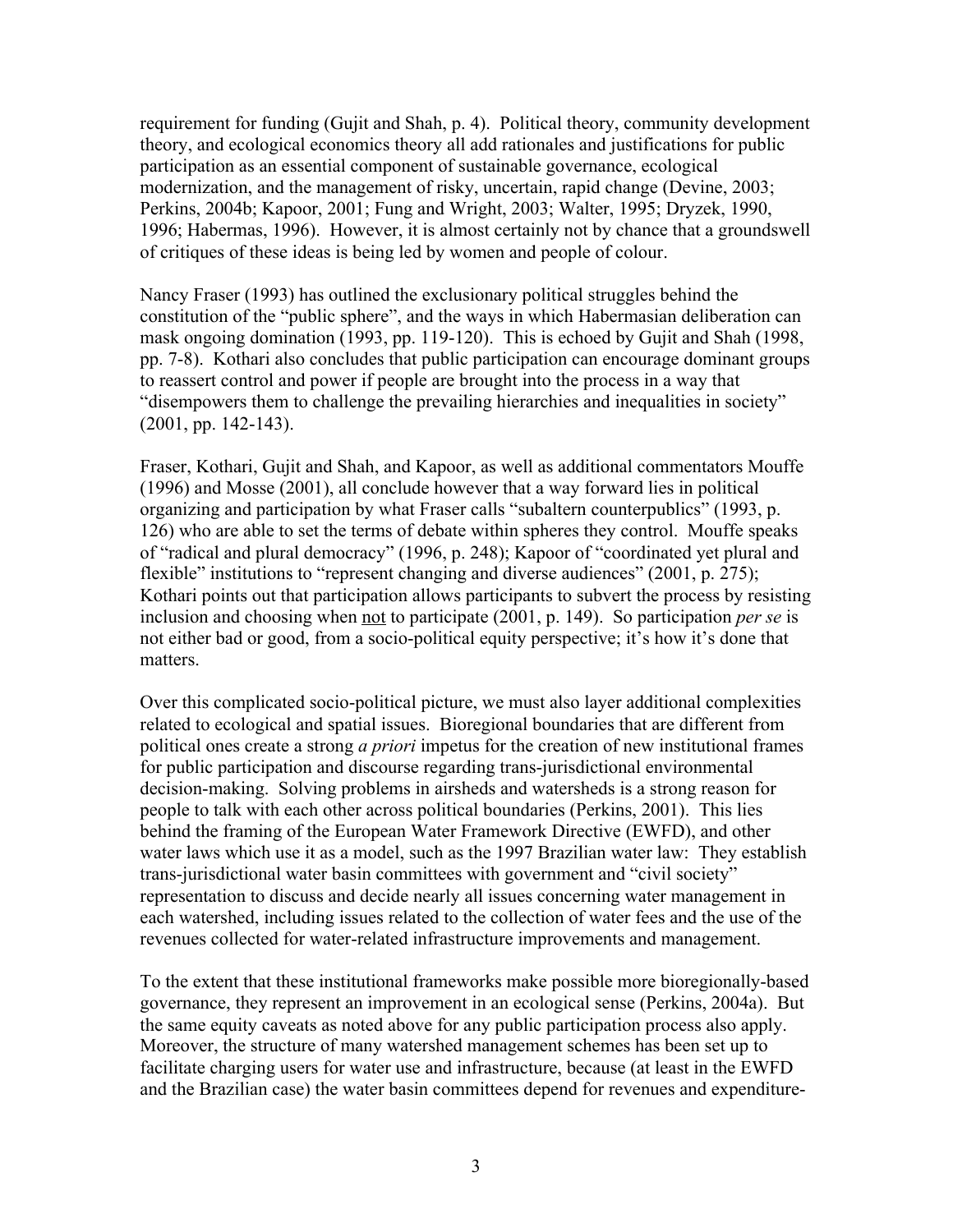requirement for funding (Gujit and Shah, p. 4). Political theory, community development theory, and ecological economics theory all add rationales and justifications for public participation as an essential component of sustainable governance, ecological modernization, and the management of risky, uncertain, rapid change (Devine, 2003; Perkins, 2004b; Kapoor, 2001; Fung and Wright, 2003; Walter, 1995; Dryzek, 1990, 1996; Habermas, 1996). However, it is almost certainly not by chance that a groundswell of critiques of these ideas is being led by women and people of colour.

Nancy Fraser (1993) has outlined the exclusionary political struggles behind the constitution of the "public sphere", and the ways in which Habermasian deliberation can mask ongoing domination (1993, pp. 119-120). This is echoed by Gujit and Shah (1998, pp. 7-8). Kothari also concludes that public participation can encourage dominant groups to reassert control and power if people are brought into the process in a way that "disempowers them to challenge the prevailing hierarchies and inequalities in society" (2001, pp. 142-143).

Fraser, Kothari, Gujit and Shah, and Kapoor, as well as additional commentators Mouffe (1996) and Mosse (2001), all conclude however that a way forward lies in political organizing and participation by what Fraser calls "subaltern counterpublics" (1993, p. 126) who are able to set the terms of debate within spheres they control. Mouffe speaks of "radical and plural democracy" (1996, p. 248); Kapoor of "coordinated yet plural and flexible" institutions to "represent changing and diverse audiences" (2001, p. 275); Kothari points out that participation allows participants to subvert the process by resisting inclusion and choosing when not to participate (2001, p. 149). So participation *per se* is not either bad or good, from a socio-political equity perspective; it's how it's done that matters.

Over this complicated socio-political picture, we must also layer additional complexities related to ecological and spatial issues. Bioregional boundaries that are different from political ones create a strong *a priori* impetus for the creation of new institutional frames for public participation and discourse regarding trans-jurisdictional environmental decision-making. Solving problems in airsheds and watersheds is a strong reason for people to talk with each other across political boundaries (Perkins, 2001). This lies behind the framing of the European Water Framework Directive (EWFD), and other water laws which use it as a model, such as the 1997 Brazilian water law: They establish trans-jurisdictional water basin committees with government and "civil society" representation to discuss and decide nearly all issues concerning water management in each watershed, including issues related to the collection of water fees and the use of the revenues collected for water-related infrastructure improvements and management.

To the extent that these institutional frameworks make possible more bioregionally-based governance, they represent an improvement in an ecological sense (Perkins, 2004a). But the same equity caveats as noted above for any public participation process also apply. Moreover, the structure of many watershed management schemes has been set up to facilitate charging users for water use and infrastructure, because (at least in the EWFD and the Brazilian case) the water basin committees depend for revenues and expenditure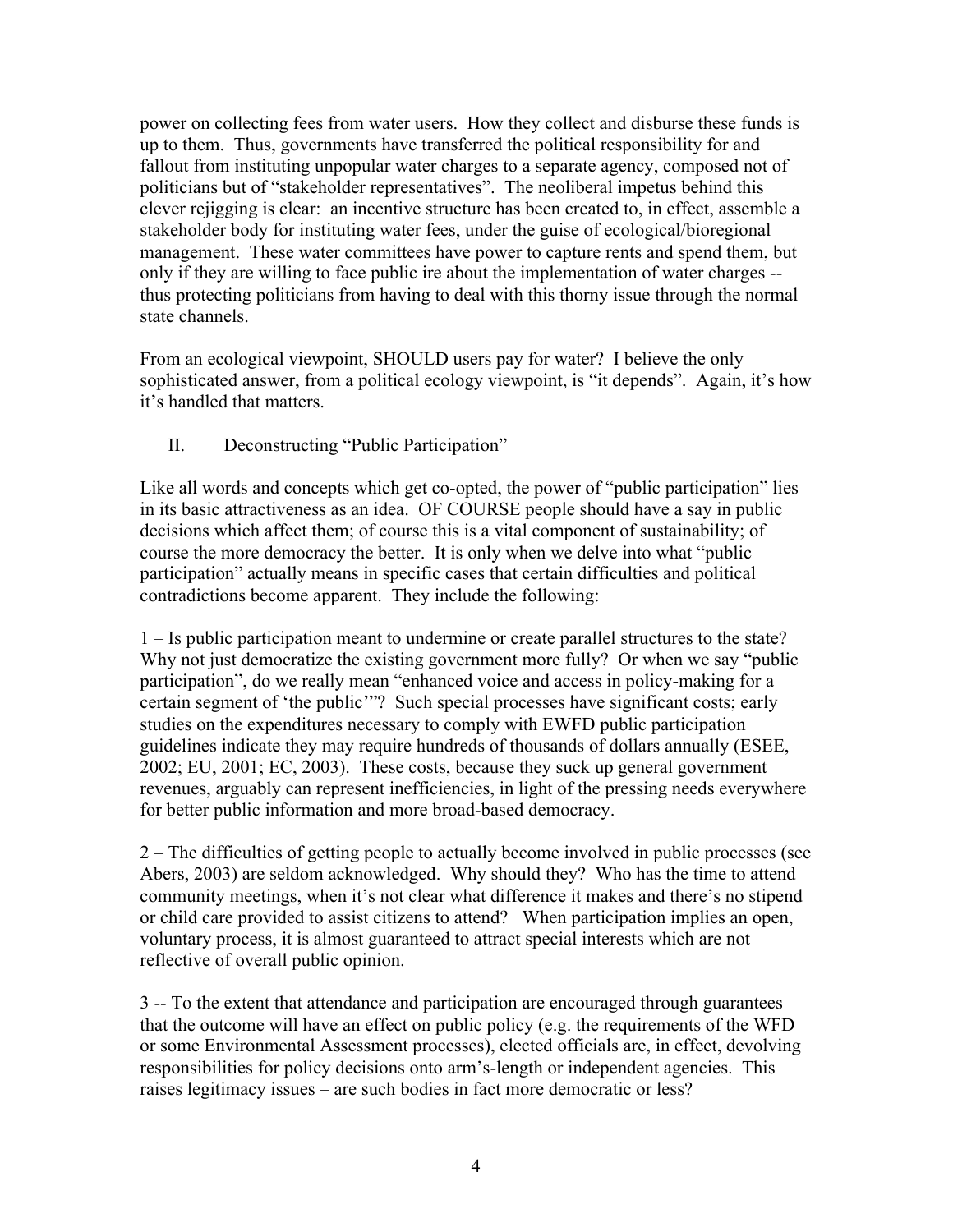power on collecting fees from water users. How they collect and disburse these funds is up to them. Thus, governments have transferred the political responsibility for and fallout from instituting unpopular water charges to a separate agency, composed not of politicians but of "stakeholder representatives". The neoliberal impetus behind this clever rejigging is clear: an incentive structure has been created to, in effect, assemble a stakeholder body for instituting water fees, under the guise of ecological/bioregional management. These water committees have power to capture rents and spend them, but only if they are willing to face public ire about the implementation of water charges - thus protecting politicians from having to deal with this thorny issue through the normal state channels.

From an ecological viewpoint, SHOULD users pay for water? I believe the only sophisticated answer, from a political ecology viewpoint, is "it depends". Again, it's how it's handled that matters.

II. Deconstructing "Public Participation"

Like all words and concepts which get co-opted, the power of "public participation" lies in its basic attractiveness as an idea. OF COURSE people should have a say in public decisions which affect them; of course this is a vital component of sustainability; of course the more democracy the better. It is only when we delve into what "public participation" actually means in specific cases that certain difficulties and political contradictions become apparent. They include the following:

1 – Is public participation meant to undermine or create parallel structures to the state? Why not just democratize the existing government more fully? Or when we say "public participation", do we really mean "enhanced voice and access in policy-making for a certain segment of 'the public'"? Such special processes have significant costs; early studies on the expenditures necessary to comply with EWFD public participation guidelines indicate they may require hundreds of thousands of dollars annually (ESEE, 2002; EU, 2001; EC, 2003). These costs, because they suck up general government revenues, arguably can represent inefficiencies, in light of the pressing needs everywhere for better public information and more broad-based democracy.

2 – The difficulties of getting people to actually become involved in public processes (see Abers, 2003) are seldom acknowledged. Why should they? Who has the time to attend community meetings, when it's not clear what difference it makes and there's no stipend or child care provided to assist citizens to attend? When participation implies an open, voluntary process, it is almost guaranteed to attract special interests which are not reflective of overall public opinion.

3 -- To the extent that attendance and participation are encouraged through guarantees that the outcome will have an effect on public policy (e.g. the requirements of the WFD or some Environmental Assessment processes), elected officials are, in effect, devolving responsibilities for policy decisions onto arm's-length or independent agencies. This raises legitimacy issues – are such bodies in fact more democratic or less?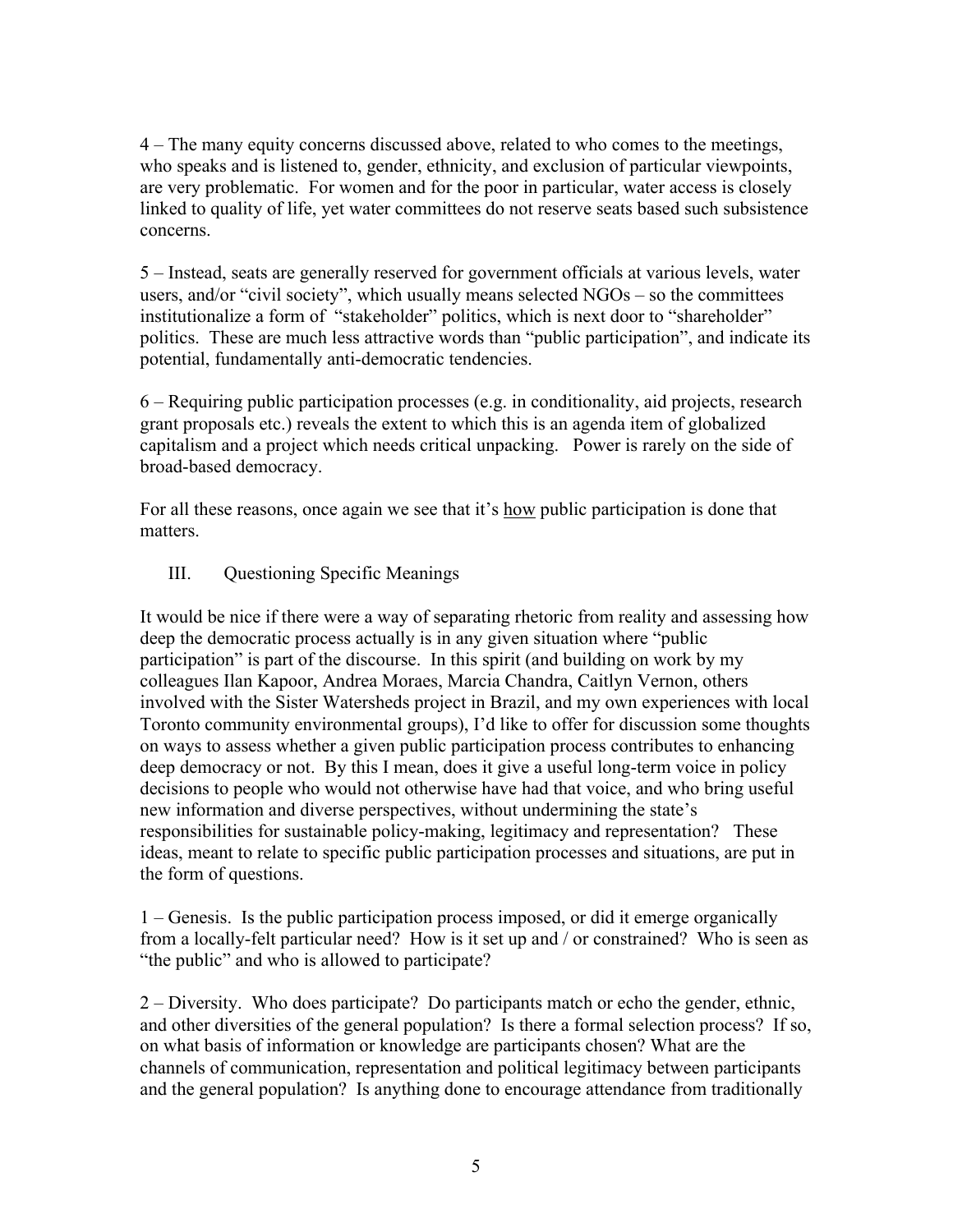4 – The many equity concerns discussed above, related to who comes to the meetings, who speaks and is listened to, gender, ethnicity, and exclusion of particular viewpoints, are very problematic. For women and for the poor in particular, water access is closely linked to quality of life, yet water committees do not reserve seats based such subsistence concerns.

5 – Instead, seats are generally reserved for government officials at various levels, water users, and/or "civil society", which usually means selected NGOs – so the committees institutionalize a form of "stakeholder" politics, which is next door to "shareholder" politics. These are much less attractive words than "public participation", and indicate its potential, fundamentally anti-democratic tendencies.

6 – Requiring public participation processes (e.g. in conditionality, aid projects, research grant proposals etc.) reveals the extent to which this is an agenda item of globalized capitalism and a project which needs critical unpacking. Power is rarely on the side of broad-based democracy.

For all these reasons, once again we see that it's how public participation is done that matters.

# III. Questioning Specific Meanings

It would be nice if there were a way of separating rhetoric from reality and assessing how deep the democratic process actually is in any given situation where "public participation" is part of the discourse. In this spirit (and building on work by my colleagues Ilan Kapoor, Andrea Moraes, Marcia Chandra, Caitlyn Vernon, others involved with the Sister Watersheds project in Brazil, and my own experiences with local Toronto community environmental groups), I'd like to offer for discussion some thoughts on ways to assess whether a given public participation process contributes to enhancing deep democracy or not. By this I mean, does it give a useful long-term voice in policy decisions to people who would not otherwise have had that voice, and who bring useful new information and diverse perspectives, without undermining the state's responsibilities for sustainable policy-making, legitimacy and representation? These ideas, meant to relate to specific public participation processes and situations, are put in the form of questions.

1 – Genesis. Is the public participation process imposed, or did it emerge organically from a locally-felt particular need? How is it set up and / or constrained? Who is seen as "the public" and who is allowed to participate?

2 – Diversity. Who does participate? Do participants match or echo the gender, ethnic, and other diversities of the general population? Is there a formal selection process? If so, on what basis of information or knowledge are participants chosen? What are the channels of communication, representation and political legitimacy between participants and the general population? Is anything done to encourage attendance from traditionally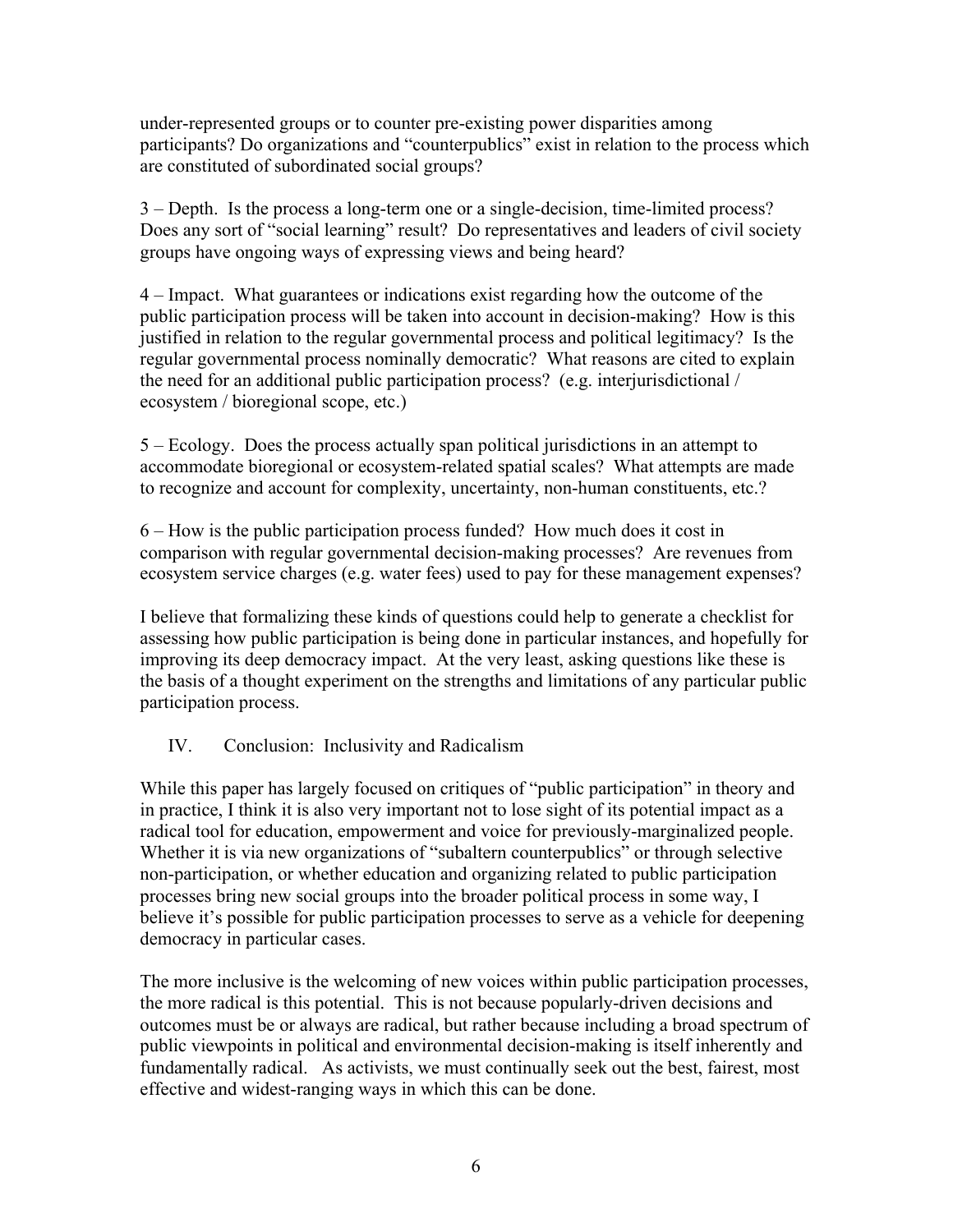under-represented groups or to counter pre-existing power disparities among participants? Do organizations and "counterpublics" exist in relation to the process which are constituted of subordinated social groups?

3 – Depth. Is the process a long-term one or a single-decision, time-limited process? Does any sort of "social learning" result? Do representatives and leaders of civil society groups have ongoing ways of expressing views and being heard?

4 – Impact. What guarantees or indications exist regarding how the outcome of the public participation process will be taken into account in decision-making? How is this justified in relation to the regular governmental process and political legitimacy? Is the regular governmental process nominally democratic? What reasons are cited to explain the need for an additional public participation process? (e.g. interjurisdictional / ecosystem / bioregional scope, etc.)

5 – Ecology. Does the process actually span political jurisdictions in an attempt to accommodate bioregional or ecosystem-related spatial scales? What attempts are made to recognize and account for complexity, uncertainty, non-human constituents, etc.?

6 – How is the public participation process funded? How much does it cost in comparison with regular governmental decision-making processes? Are revenues from ecosystem service charges (e.g. water fees) used to pay for these management expenses?

I believe that formalizing these kinds of questions could help to generate a checklist for assessing how public participation is being done in particular instances, and hopefully for improving its deep democracy impact. At the very least, asking questions like these is the basis of a thought experiment on the strengths and limitations of any particular public participation process.

# IV. Conclusion: Inclusivity and Radicalism

While this paper has largely focused on critiques of "public participation" in theory and in practice, I think it is also very important not to lose sight of its potential impact as a radical tool for education, empowerment and voice for previously-marginalized people. Whether it is via new organizations of "subaltern counterpublics" or through selective non-participation, or whether education and organizing related to public participation processes bring new social groups into the broader political process in some way, I believe it's possible for public participation processes to serve as a vehicle for deepening democracy in particular cases.

The more inclusive is the welcoming of new voices within public participation processes, the more radical is this potential. This is not because popularly-driven decisions and outcomes must be or always are radical, but rather because including a broad spectrum of public viewpoints in political and environmental decision-making is itself inherently and fundamentally radical. As activists, we must continually seek out the best, fairest, most effective and widest-ranging ways in which this can be done.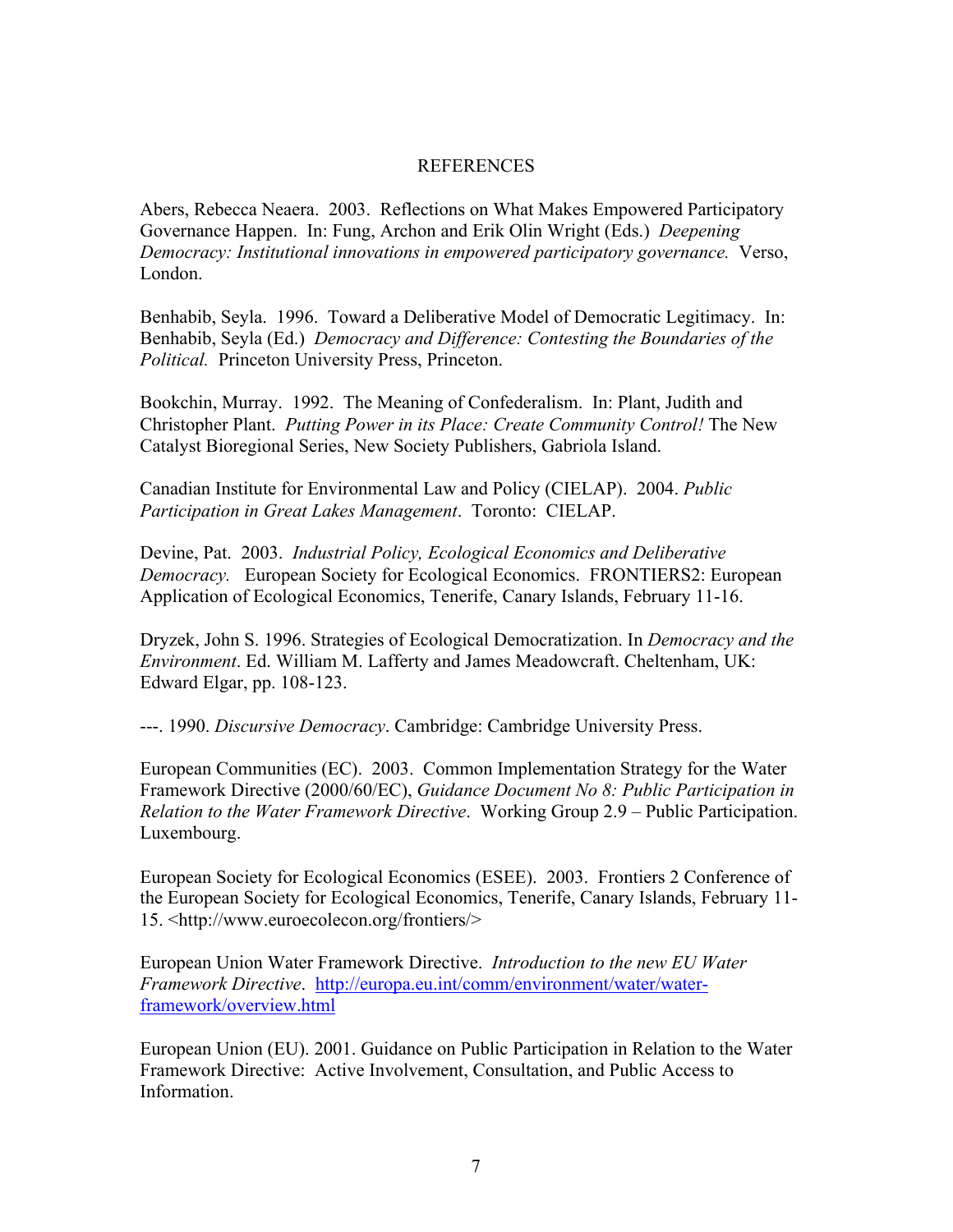### REFERENCES

Abers, Rebecca Neaera. 2003. Reflections on What Makes Empowered Participatory Governance Happen. In: Fung, Archon and Erik Olin Wright (Eds.) *Deepening Democracy: Institutional innovations in empowered participatory governance.* Verso, London.

Benhabib, Seyla. 1996. Toward a Deliberative Model of Democratic Legitimacy. In: Benhabib, Seyla (Ed.) *Democracy and Difference: Contesting the Boundaries of the Political.* Princeton University Press, Princeton.

Bookchin, Murray. 1992. The Meaning of Confederalism. In: Plant, Judith and Christopher Plant. *Putting Power in its Place: Create Community Control!* The New Catalyst Bioregional Series, New Society Publishers, Gabriola Island.

Canadian Institute for Environmental Law and Policy (CIELAP). 2004. *Public Participation in Great Lakes Management*. Toronto: CIELAP.

Devine, Pat. 2003. *Industrial Policy, Ecological Economics and Deliberative Democracy.* European Society for Ecological Economics. FRONTIERS2: European Application of Ecological Economics, Tenerife, Canary Islands, February 11-16.

Dryzek, John S. 1996. Strategies of Ecological Democratization. In *Democracy and the Environment*. Ed. William M. Lafferty and James Meadowcraft. Cheltenham, UK: Edward Elgar, pp. 108-123.

---. 1990. *Discursive Democracy*. Cambridge: Cambridge University Press.

European Communities (EC). 2003. Common Implementation Strategy for the Water Framework Directive (2000/60/EC), *Guidance Document No 8: Public Participation in Relation to the Water Framework Directive*. Working Group 2.9 – Public Participation. Luxembourg.

European Society for Ecological Economics (ESEE). 2003. Frontiers 2 Conference of the European Society for Ecological Economics, Tenerife, Canary Islands, February 11- 15. <http://www.euroecolecon.org/frontiers/>

European Union Water Framework Directive. *Introduction to the new EU Water Framework Directive*. http://europa.eu.int/comm/environment/water/waterframework/overview.html

European Union (EU). 2001. Guidance on Public Participation in Relation to the Water Framework Directive: Active Involvement, Consultation, and Public Access to Information.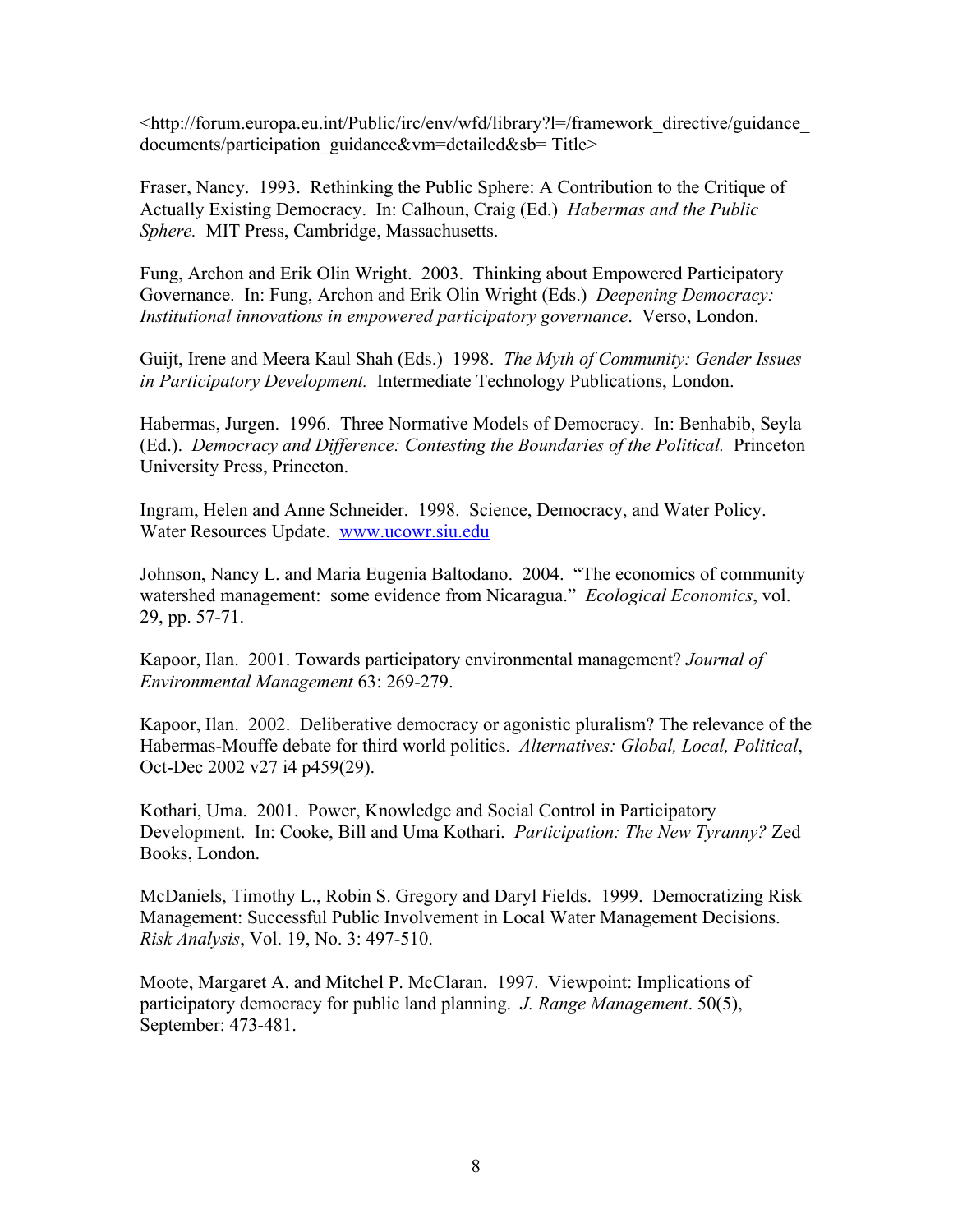<http://forum.europa.eu.int/Public/irc/env/wfd/library?l=/framework\_directive/guidance\_ documents/participation\_guidance&vm=detailed&sb= Title>

Fraser, Nancy. 1993. Rethinking the Public Sphere: A Contribution to the Critique of Actually Existing Democracy. In: Calhoun, Craig (Ed.) *Habermas and the Public Sphere.* MIT Press, Cambridge, Massachusetts.

Fung, Archon and Erik Olin Wright. 2003. Thinking about Empowered Participatory Governance. In: Fung, Archon and Erik Olin Wright (Eds.) *Deepening Democracy: Institutional innovations in empowered participatory governance*. Verso, London.

Guijt, Irene and Meera Kaul Shah (Eds.) 1998. *The Myth of Community: Gender Issues in Participatory Development.* Intermediate Technology Publications, London.

Habermas, Jurgen. 1996. Three Normative Models of Democracy. In: Benhabib, Seyla (Ed.). *Democracy and Difference: Contesting the Boundaries of the Political.* Princeton University Press, Princeton.

Ingram, Helen and Anne Schneider. 1998. Science, Democracy, and Water Policy. Water Resources Update. www.ucowr.siu.edu

Johnson, Nancy L. and Maria Eugenia Baltodano. 2004. "The economics of community watershed management: some evidence from Nicaragua." *Ecological Economics*, vol. 29, pp. 57-71.

Kapoor, Ilan. 2001. Towards participatory environmental management? *Journal of Environmental Management* 63: 269-279.

Kapoor, Ilan. 2002. Deliberative democracy or agonistic pluralism? The relevance of the Habermas-Mouffe debate for third world politics. *Alternatives: Global, Local, Political*, Oct-Dec 2002 v27 i4 p459(29).

Kothari, Uma. 2001. Power, Knowledge and Social Control in Participatory Development. In: Cooke, Bill and Uma Kothari. *Participation: The New Tyranny?* Zed Books, London.

McDaniels, Timothy L., Robin S. Gregory and Daryl Fields. 1999. Democratizing Risk Management: Successful Public Involvement in Local Water Management Decisions. *Risk Analysis*, Vol. 19, No. 3: 497-510.

Moote, Margaret A. and Mitchel P. McClaran. 1997. Viewpoint: Implications of participatory democracy for public land planning. *J. Range Management*. 50(5), September: 473-481.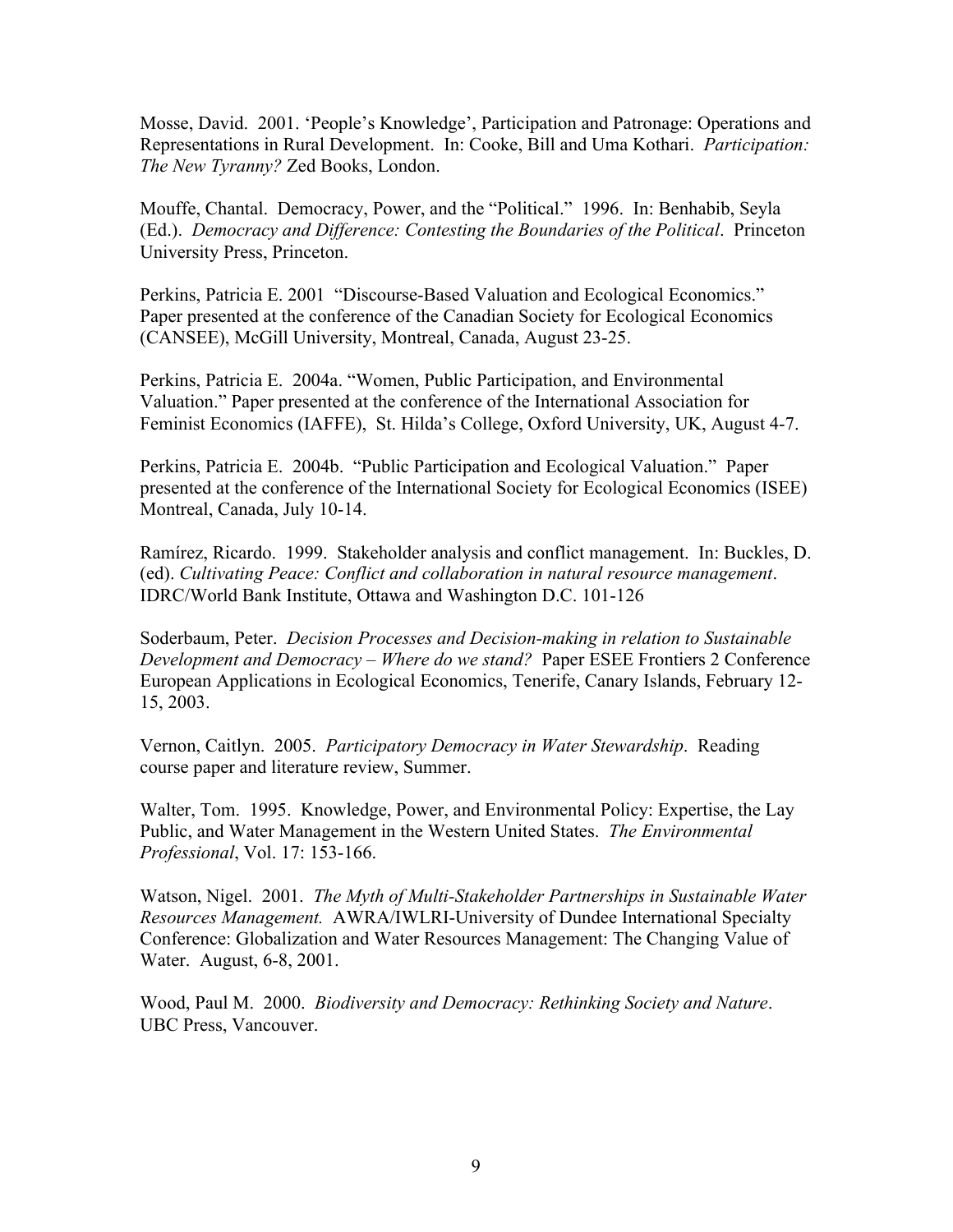Mosse, David. 2001. 'People's Knowledge', Participation and Patronage: Operations and Representations in Rural Development. In: Cooke, Bill and Uma Kothari. *Participation: The New Tyranny?* Zed Books, London.

Mouffe, Chantal. Democracy, Power, and the "Political." 1996. In: Benhabib, Seyla (Ed.). *Democracy and Difference: Contesting the Boundaries of the Political*. Princeton University Press, Princeton.

Perkins, Patricia E. 2001 "Discourse-Based Valuation and Ecological Economics." Paper presented at the conference of the Canadian Society for Ecological Economics (CANSEE), McGill University, Montreal, Canada, August 23-25.

Perkins, Patricia E. 2004a. "Women, Public Participation, and Environmental Valuation." Paper presented at the conference of the International Association for Feminist Economics (IAFFE), St. Hilda's College, Oxford University, UK, August 4-7.

Perkins, Patricia E. 2004b. "Public Participation and Ecological Valuation." Paper presented at the conference of the International Society for Ecological Economics (ISEE) Montreal, Canada, July 10-14.

Ramírez, Ricardo. 1999. Stakeholder analysis and conflict management. In: Buckles, D. (ed). *Cultivating Peace: Conflict and collaboration in natural resource management*. IDRC/World Bank Institute, Ottawa and Washington D.C. 101-126

Soderbaum, Peter. *Decision Processes and Decision-making in relation to Sustainable Development and Democracy – Where do we stand?* Paper ESEE Frontiers 2 Conference European Applications in Ecological Economics, Tenerife, Canary Islands, February 12- 15, 2003.

Vernon, Caitlyn. 2005. *Participatory Democracy in Water Stewardship*. Reading course paper and literature review, Summer.

Walter, Tom. 1995. Knowledge, Power, and Environmental Policy: Expertise, the Lay Public, and Water Management in the Western United States. *The Environmental Professional*, Vol. 17: 153-166.

Watson, Nigel. 2001. *The Myth of Multi-Stakeholder Partnerships in Sustainable Water Resources Management.* AWRA/IWLRI-University of Dundee International Specialty Conference: Globalization and Water Resources Management: The Changing Value of Water. August, 6-8, 2001.

Wood, Paul M. 2000. *Biodiversity and Democracy: Rethinking Society and Nature*. UBC Press, Vancouver.